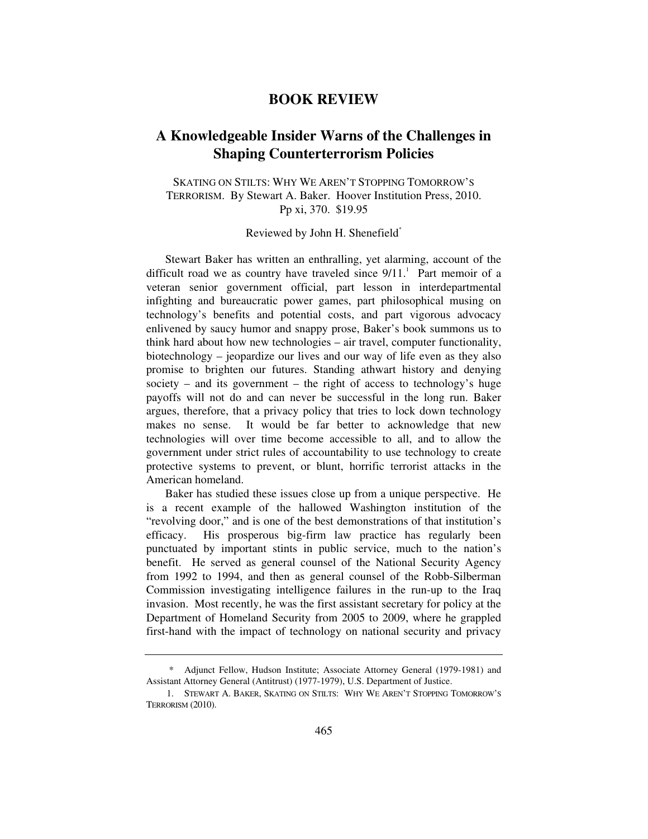## **BOOK REVIEW**

## **A Knowledgeable Insider Warns of the Challenges in Shaping Counterterrorism Policies**

SKATING ON STILTS: WHY WE AREN'T STOPPING TOMORROW'S TERRORISM. By Stewart A. Baker. Hoover Institution Press, 2010. Pp xi, 370. \$19.95

Reviewed by John H. Shenefield\*

Stewart Baker has written an enthralling, yet alarming, account of the difficult road we as country have traveled since  $9/11$ .<sup>1</sup> Part memoir of a veteran senior government official, part lesson in interdepartmental infighting and bureaucratic power games, part philosophical musing on technology's benefits and potential costs, and part vigorous advocacy enlivened by saucy humor and snappy prose, Baker's book summons us to think hard about how new technologies – air travel, computer functionality, biotechnology – jeopardize our lives and our way of life even as they also promise to brighten our futures. Standing athwart history and denying society – and its government – the right of access to technology's huge payoffs will not do and can never be successful in the long run. Baker argues, therefore, that a privacy policy that tries to lock down technology makes no sense. It would be far better to acknowledge that new technologies will over time become accessible to all, and to allow the government under strict rules of accountability to use technology to create protective systems to prevent, or blunt, horrific terrorist attacks in the American homeland.

Baker has studied these issues close up from a unique perspective. He is a recent example of the hallowed Washington institution of the "revolving door," and is one of the best demonstrations of that institution's efficacy. His prosperous big-firm law practice has regularly been punctuated by important stints in public service, much to the nation's benefit. He served as general counsel of the National Security Agency from 1992 to 1994, and then as general counsel of the Robb-Silberman Commission investigating intelligence failures in the run-up to the Iraq invasion. Most recently, he was the first assistant secretary for policy at the Department of Homeland Security from 2005 to 2009, where he grappled first-hand with the impact of technology on national security and privacy

 <sup>\*</sup> Adjunct Fellow, Hudson Institute; Associate Attorney General (1979-1981) and Assistant Attorney General (Antitrust) (1977-1979), U.S. Department of Justice.

 <sup>1.</sup> STEWART A. BAKER, SKATING ON STILTS: WHY WE AREN'T STOPPING TOMORROW'S TERRORISM (2010).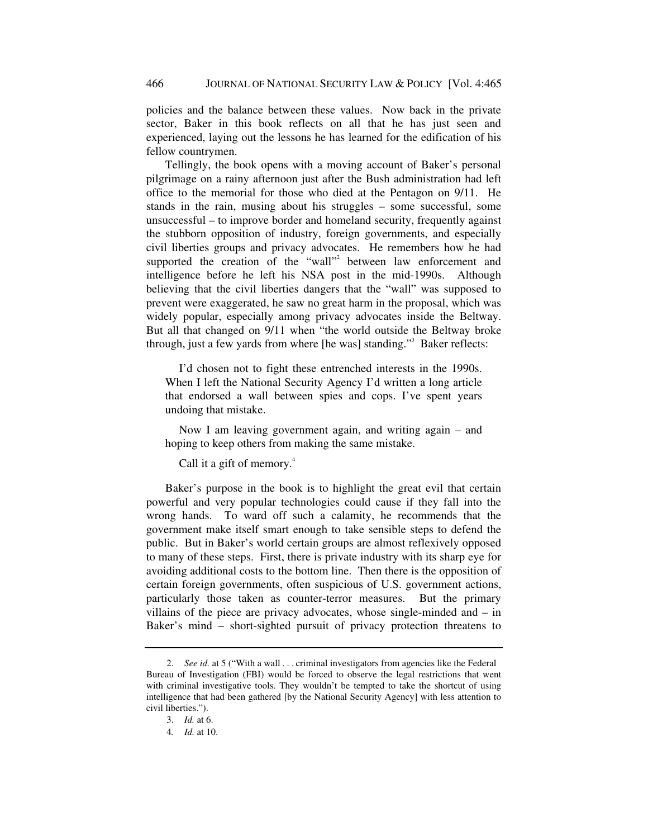policies and the balance between these values. Now back in the private sector, Baker in this book reflects on all that he has just seen and experienced, laying out the lessons he has learned for the edification of his fellow countrymen.

Tellingly, the book opens with a moving account of Baker's personal pilgrimage on a rainy afternoon just after the Bush administration had left office to the memorial for those who died at the Pentagon on 9/11. He stands in the rain, musing about his struggles – some successful, some unsuccessful – to improve border and homeland security, frequently against the stubborn opposition of industry, foreign governments, and especially civil liberties groups and privacy advocates. He remembers how he had supported the creation of the "wall"<sup>2</sup> between law enforcement and intelligence before he left his NSA post in the mid-1990s. Although believing that the civil liberties dangers that the "wall" was supposed to prevent were exaggerated, he saw no great harm in the proposal, which was widely popular, especially among privacy advocates inside the Beltway. But all that changed on 9/11 when "the world outside the Beltway broke through, just a few yards from where [he was] standing."<sup>3</sup> Baker reflects:

 I'd chosen not to fight these entrenched interests in the 1990s. When I left the National Security Agency I'd written a long article that endorsed a wall between spies and cops. I've spent years undoing that mistake.

 Now I am leaving government again, and writing again – and hoping to keep others from making the same mistake.

Call it a gift of memory.<sup>4</sup>

Baker's purpose in the book is to highlight the great evil that certain powerful and very popular technologies could cause if they fall into the wrong hands. To ward off such a calamity, he recommends that the government make itself smart enough to take sensible steps to defend the public. But in Baker's world certain groups are almost reflexively opposed to many of these steps. First, there is private industry with its sharp eye for avoiding additional costs to the bottom line. Then there is the opposition of certain foreign governments, often suspicious of U.S. government actions, particularly those taken as counter-terror measures. But the primary villains of the piece are privacy advocates, whose single-minded and – in Baker's mind – short-sighted pursuit of privacy protection threatens to

<sup>2.</sup> *See id.* at 5 ("With a wall . . . criminal investigators from agencies like the Federal Bureau of Investigation (FBI) would be forced to observe the legal restrictions that went with criminal investigative tools. They wouldn't be tempted to take the shortcut of using intelligence that had been gathered [by the National Security Agency] with less attention to civil liberties.").

 <sup>3.</sup> *Id.* at 6.

<sup>4</sup>*. Id.* at 10.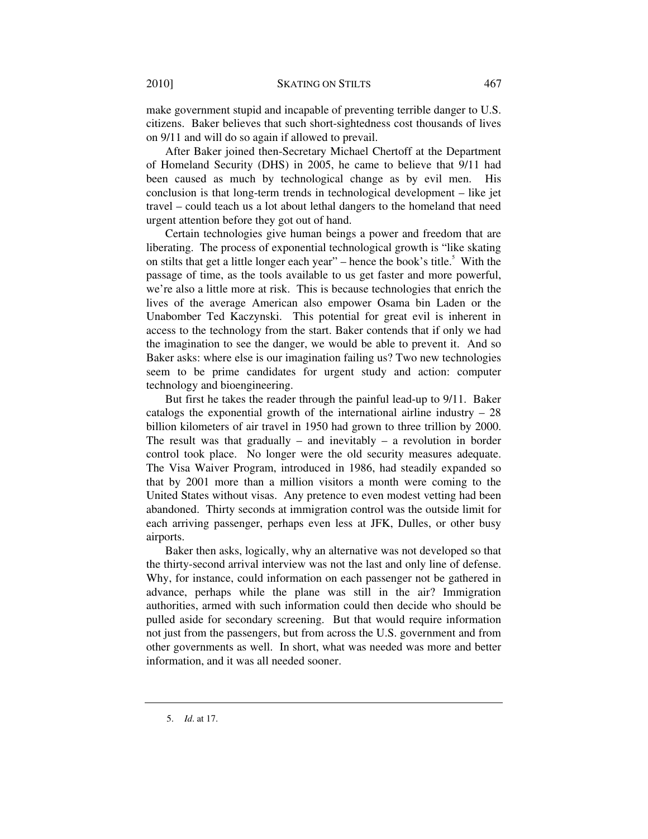make government stupid and incapable of preventing terrible danger to U.S. citizens. Baker believes that such short-sightedness cost thousands of lives on 9/11 and will do so again if allowed to prevail.

After Baker joined then-Secretary Michael Chertoff at the Department of Homeland Security (DHS) in 2005, he came to believe that 9/11 had been caused as much by technological change as by evil men. His conclusion is that long-term trends in technological development – like jet travel – could teach us a lot about lethal dangers to the homeland that need urgent attention before they got out of hand.

Certain technologies give human beings a power and freedom that are liberating. The process of exponential technological growth is "like skating on stilts that get a little longer each year"  $-$  hence the book's title.<sup>5</sup> With the passage of time, as the tools available to us get faster and more powerful, we're also a little more at risk. This is because technologies that enrich the lives of the average American also empower Osama bin Laden or the Unabomber Ted Kaczynski. This potential for great evil is inherent in access to the technology from the start. Baker contends that if only we had the imagination to see the danger, we would be able to prevent it. And so Baker asks: where else is our imagination failing us? Two new technologies seem to be prime candidates for urgent study and action: computer technology and bioengineering.

But first he takes the reader through the painful lead-up to 9/11. Baker catalogs the exponential growth of the international airline industry – 28 billion kilometers of air travel in 1950 had grown to three trillion by 2000. The result was that gradually – and inevitably – a revolution in border control took place. No longer were the old security measures adequate. The Visa Waiver Program, introduced in 1986, had steadily expanded so that by 2001 more than a million visitors a month were coming to the United States without visas. Any pretence to even modest vetting had been abandoned. Thirty seconds at immigration control was the outside limit for each arriving passenger, perhaps even less at JFK, Dulles, or other busy airports.

Baker then asks, logically, why an alternative was not developed so that the thirty-second arrival interview was not the last and only line of defense. Why, for instance, could information on each passenger not be gathered in advance, perhaps while the plane was still in the air? Immigration authorities, armed with such information could then decide who should be pulled aside for secondary screening. But that would require information not just from the passengers, but from across the U.S. government and from other governments as well. In short, what was needed was more and better information, and it was all needed sooner.

 <sup>5.</sup> *Id*. at 17.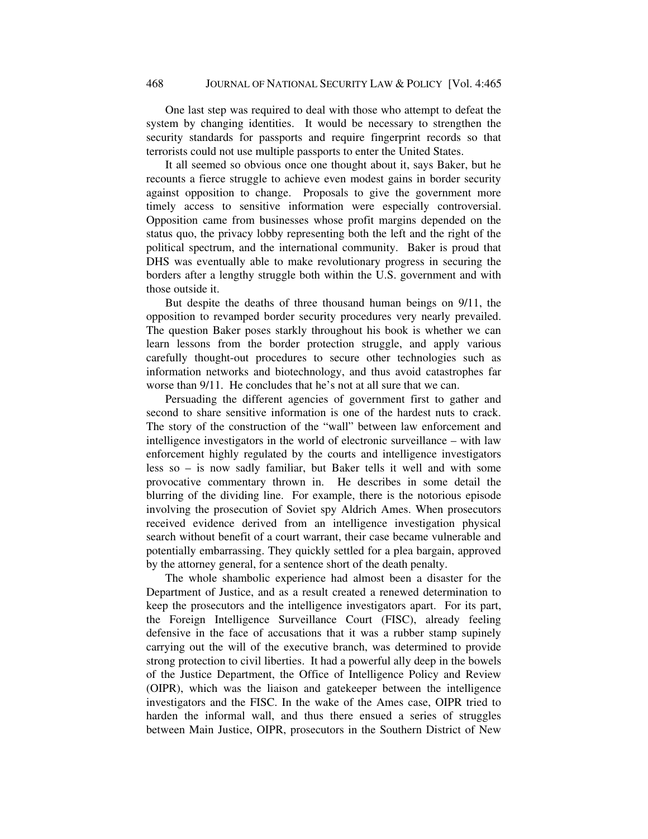One last step was required to deal with those who attempt to defeat the system by changing identities. It would be necessary to strengthen the security standards for passports and require fingerprint records so that terrorists could not use multiple passports to enter the United States.

It all seemed so obvious once one thought about it, says Baker, but he recounts a fierce struggle to achieve even modest gains in border security against opposition to change. Proposals to give the government more timely access to sensitive information were especially controversial. Opposition came from businesses whose profit margins depended on the status quo, the privacy lobby representing both the left and the right of the political spectrum, and the international community. Baker is proud that DHS was eventually able to make revolutionary progress in securing the borders after a lengthy struggle both within the U.S. government and with those outside it.

But despite the deaths of three thousand human beings on 9/11, the opposition to revamped border security procedures very nearly prevailed. The question Baker poses starkly throughout his book is whether we can learn lessons from the border protection struggle, and apply various carefully thought-out procedures to secure other technologies such as information networks and biotechnology, and thus avoid catastrophes far worse than 9/11. He concludes that he's not at all sure that we can.

Persuading the different agencies of government first to gather and second to share sensitive information is one of the hardest nuts to crack. The story of the construction of the "wall" between law enforcement and intelligence investigators in the world of electronic surveillance – with law enforcement highly regulated by the courts and intelligence investigators less so – is now sadly familiar, but Baker tells it well and with some provocative commentary thrown in. He describes in some detail the blurring of the dividing line. For example, there is the notorious episode involving the prosecution of Soviet spy Aldrich Ames. When prosecutors received evidence derived from an intelligence investigation physical search without benefit of a court warrant, their case became vulnerable and potentially embarrassing. They quickly settled for a plea bargain, approved by the attorney general, for a sentence short of the death penalty.

The whole shambolic experience had almost been a disaster for the Department of Justice, and as a result created a renewed determination to keep the prosecutors and the intelligence investigators apart. For its part, the Foreign Intelligence Surveillance Court (FISC), already feeling defensive in the face of accusations that it was a rubber stamp supinely carrying out the will of the executive branch, was determined to provide strong protection to civil liberties. It had a powerful ally deep in the bowels of the Justice Department, the Office of Intelligence Policy and Review (OIPR), which was the liaison and gatekeeper between the intelligence investigators and the FISC. In the wake of the Ames case, OIPR tried to harden the informal wall, and thus there ensued a series of struggles between Main Justice, OIPR, prosecutors in the Southern District of New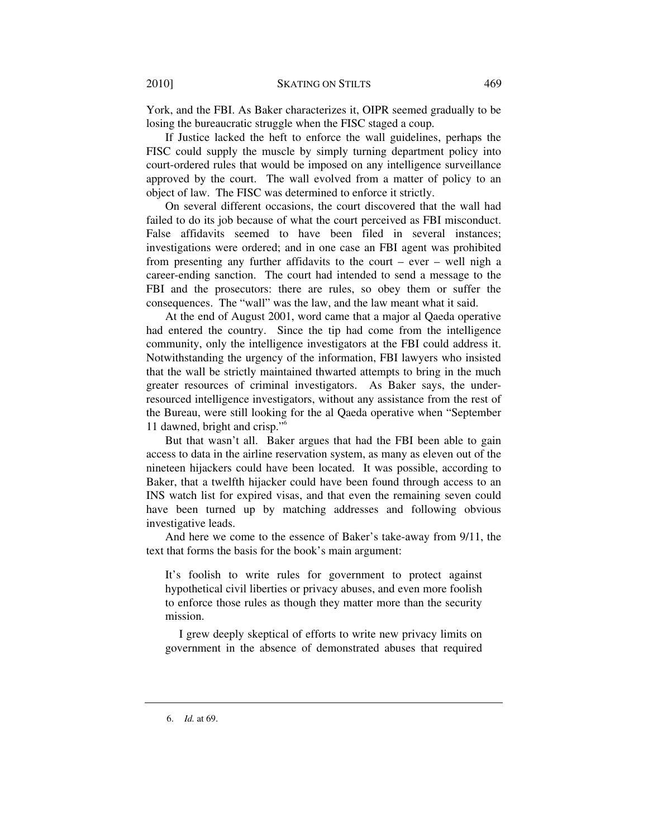York, and the FBI. As Baker characterizes it, OIPR seemed gradually to be losing the bureaucratic struggle when the FISC staged a coup.

If Justice lacked the heft to enforce the wall guidelines, perhaps the FISC could supply the muscle by simply turning department policy into court-ordered rules that would be imposed on any intelligence surveillance approved by the court. The wall evolved from a matter of policy to an object of law. The FISC was determined to enforce it strictly.

On several different occasions, the court discovered that the wall had failed to do its job because of what the court perceived as FBI misconduct. False affidavits seemed to have been filed in several instances; investigations were ordered; and in one case an FBI agent was prohibited from presenting any further affidavits to the court – ever – well nigh a career-ending sanction. The court had intended to send a message to the FBI and the prosecutors: there are rules, so obey them or suffer the consequences. The "wall" was the law, and the law meant what it said.

At the end of August 2001, word came that a major al Qaeda operative had entered the country. Since the tip had come from the intelligence community, only the intelligence investigators at the FBI could address it. Notwithstanding the urgency of the information, FBI lawyers who insisted that the wall be strictly maintained thwarted attempts to bring in the much greater resources of criminal investigators. As Baker says, the underresourced intelligence investigators, without any assistance from the rest of the Bureau, were still looking for the al Qaeda operative when "September 11 dawned, bright and crisp."6

But that wasn't all. Baker argues that had the FBI been able to gain access to data in the airline reservation system, as many as eleven out of the nineteen hijackers could have been located. It was possible, according to Baker, that a twelfth hijacker could have been found through access to an INS watch list for expired visas, and that even the remaining seven could have been turned up by matching addresses and following obvious investigative leads.

And here we come to the essence of Baker's take-away from 9/11, the text that forms the basis for the book's main argument:

It's foolish to write rules for government to protect against hypothetical civil liberties or privacy abuses, and even more foolish to enforce those rules as though they matter more than the security mission.

 I grew deeply skeptical of efforts to write new privacy limits on government in the absence of demonstrated abuses that required

 <sup>6.</sup> *Id.* at 69.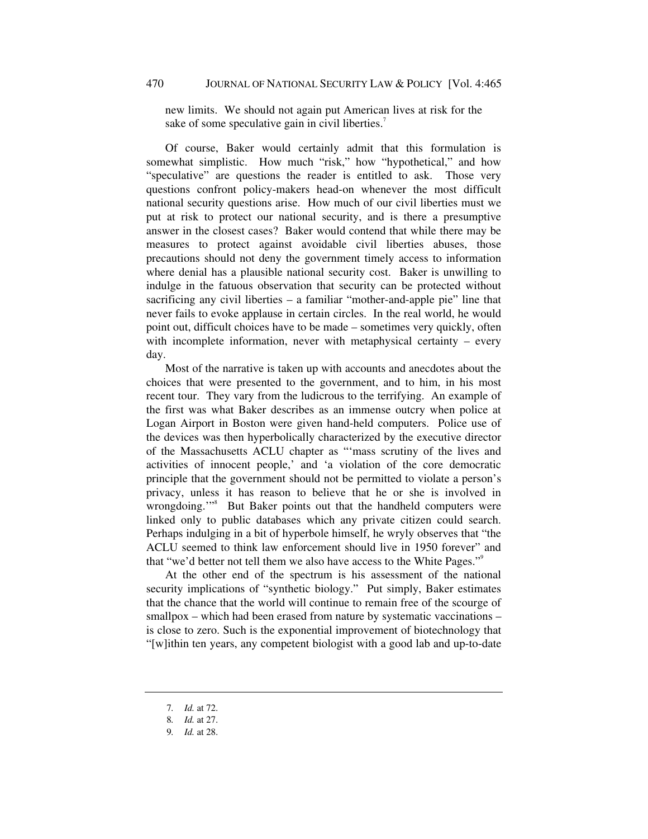new limits. We should not again put American lives at risk for the sake of some speculative gain in civil liberties.<sup>7</sup>

Of course, Baker would certainly admit that this formulation is somewhat simplistic. How much "risk," how "hypothetical," and how "speculative" are questions the reader is entitled to ask. Those very questions confront policy-makers head-on whenever the most difficult national security questions arise. How much of our civil liberties must we put at risk to protect our national security, and is there a presumptive answer in the closest cases? Baker would contend that while there may be measures to protect against avoidable civil liberties abuses, those precautions should not deny the government timely access to information where denial has a plausible national security cost. Baker is unwilling to indulge in the fatuous observation that security can be protected without sacrificing any civil liberties – a familiar "mother-and-apple pie" line that never fails to evoke applause in certain circles. In the real world, he would point out, difficult choices have to be made – sometimes very quickly, often with incomplete information, never with metaphysical certainty – every day.

Most of the narrative is taken up with accounts and anecdotes about the choices that were presented to the government, and to him, in his most recent tour. They vary from the ludicrous to the terrifying. An example of the first was what Baker describes as an immense outcry when police at Logan Airport in Boston were given hand-held computers. Police use of the devices was then hyperbolically characterized by the executive director of the Massachusetts ACLU chapter as "'mass scrutiny of the lives and activities of innocent people,' and 'a violation of the core democratic principle that the government should not be permitted to violate a person's privacy, unless it has reason to believe that he or she is involved in wrongdoing."<sup>8</sup> But Baker points out that the handheld computers were linked only to public databases which any private citizen could search. Perhaps indulging in a bit of hyperbole himself, he wryly observes that "the ACLU seemed to think law enforcement should live in 1950 forever" and that "we'd better not tell them we also have access to the White Pages."<sup>9</sup>

At the other end of the spectrum is his assessment of the national security implications of "synthetic biology." Put simply, Baker estimates that the chance that the world will continue to remain free of the scourge of smallpox – which had been erased from nature by systematic vaccinations – is close to zero. Such is the exponential improvement of biotechnology that "[w]ithin ten years, any competent biologist with a good lab and up-to-date

<sup>7</sup>*. Id.* at 72.

<sup>8</sup>*. Id.* at 27.

<sup>9</sup>*. Id.* at 28.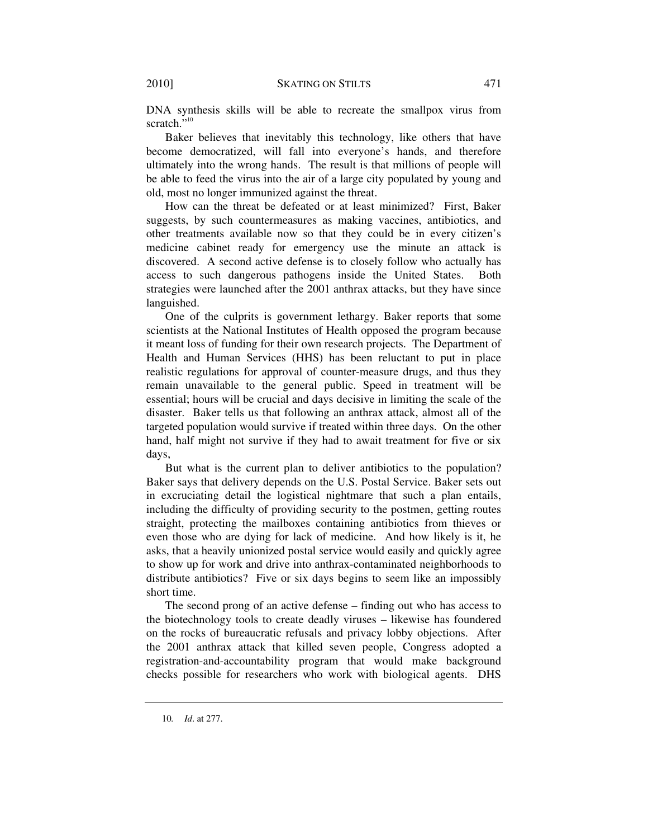DNA synthesis skills will be able to recreate the smallpox virus from scratch."<sup>10</sup>

Baker believes that inevitably this technology, like others that have become democratized, will fall into everyone's hands, and therefore ultimately into the wrong hands. The result is that millions of people will be able to feed the virus into the air of a large city populated by young and old, most no longer immunized against the threat.

How can the threat be defeated or at least minimized? First, Baker suggests, by such countermeasures as making vaccines, antibiotics, and other treatments available now so that they could be in every citizen's medicine cabinet ready for emergency use the minute an attack is discovered. A second active defense is to closely follow who actually has access to such dangerous pathogens inside the United States. Both strategies were launched after the 2001 anthrax attacks, but they have since languished.

One of the culprits is government lethargy. Baker reports that some scientists at the National Institutes of Health opposed the program because it meant loss of funding for their own research projects. The Department of Health and Human Services (HHS) has been reluctant to put in place realistic regulations for approval of counter-measure drugs, and thus they remain unavailable to the general public. Speed in treatment will be essential; hours will be crucial and days decisive in limiting the scale of the disaster. Baker tells us that following an anthrax attack, almost all of the targeted population would survive if treated within three days. On the other hand, half might not survive if they had to await treatment for five or six days,

But what is the current plan to deliver antibiotics to the population? Baker says that delivery depends on the U.S. Postal Service. Baker sets out in excruciating detail the logistical nightmare that such a plan entails, including the difficulty of providing security to the postmen, getting routes straight, protecting the mailboxes containing antibiotics from thieves or even those who are dying for lack of medicine. And how likely is it, he asks, that a heavily unionized postal service would easily and quickly agree to show up for work and drive into anthrax-contaminated neighborhoods to distribute antibiotics? Five or six days begins to seem like an impossibly short time.

The second prong of an active defense – finding out who has access to the biotechnology tools to create deadly viruses – likewise has foundered on the rocks of bureaucratic refusals and privacy lobby objections. After the 2001 anthrax attack that killed seven people, Congress adopted a registration-and-accountability program that would make background checks possible for researchers who work with biological agents. DHS

<sup>10</sup>*. Id*. at 277.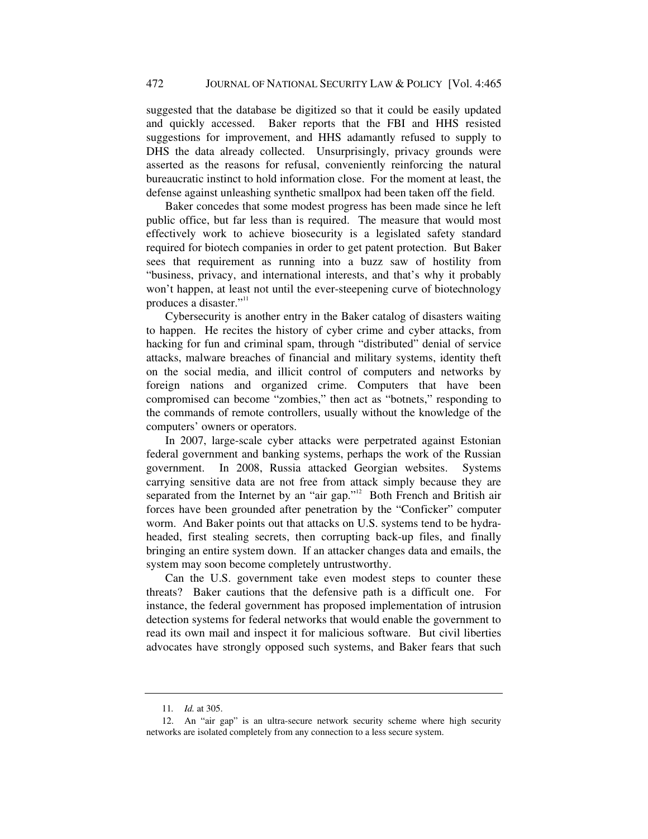suggested that the database be digitized so that it could be easily updated and quickly accessed. Baker reports that the FBI and HHS resisted suggestions for improvement, and HHS adamantly refused to supply to DHS the data already collected. Unsurprisingly, privacy grounds were asserted as the reasons for refusal, conveniently reinforcing the natural bureaucratic instinct to hold information close. For the moment at least, the defense against unleashing synthetic smallpox had been taken off the field.

Baker concedes that some modest progress has been made since he left public office, but far less than is required. The measure that would most effectively work to achieve biosecurity is a legislated safety standard required for biotech companies in order to get patent protection. But Baker sees that requirement as running into a buzz saw of hostility from "business, privacy, and international interests, and that's why it probably won't happen, at least not until the ever-steepening curve of biotechnology produces a disaster."<sup>11</sup>

Cybersecurity is another entry in the Baker catalog of disasters waiting to happen. He recites the history of cyber crime and cyber attacks, from hacking for fun and criminal spam, through "distributed" denial of service attacks, malware breaches of financial and military systems, identity theft on the social media, and illicit control of computers and networks by foreign nations and organized crime. Computers that have been compromised can become "zombies," then act as "botnets," responding to the commands of remote controllers, usually without the knowledge of the computers' owners or operators.

In 2007, large-scale cyber attacks were perpetrated against Estonian federal government and banking systems, perhaps the work of the Russian government. In 2008, Russia attacked Georgian websites. Systems carrying sensitive data are not free from attack simply because they are separated from the Internet by an "air gap."<sup>12</sup> Both French and British air forces have been grounded after penetration by the "Conficker" computer worm. And Baker points out that attacks on U.S. systems tend to be hydraheaded, first stealing secrets, then corrupting back-up files, and finally bringing an entire system down. If an attacker changes data and emails, the system may soon become completely untrustworthy.

Can the U.S. government take even modest steps to counter these threats? Baker cautions that the defensive path is a difficult one. For instance, the federal government has proposed implementation of intrusion detection systems for federal networks that would enable the government to read its own mail and inspect it for malicious software. But civil liberties advocates have strongly opposed such systems, and Baker fears that such

<sup>11</sup>*. Id.* at 305.

 <sup>12.</sup> An "air gap" is an ultra-secure network security scheme where high security networks are isolated completely from any connection to a less secure system.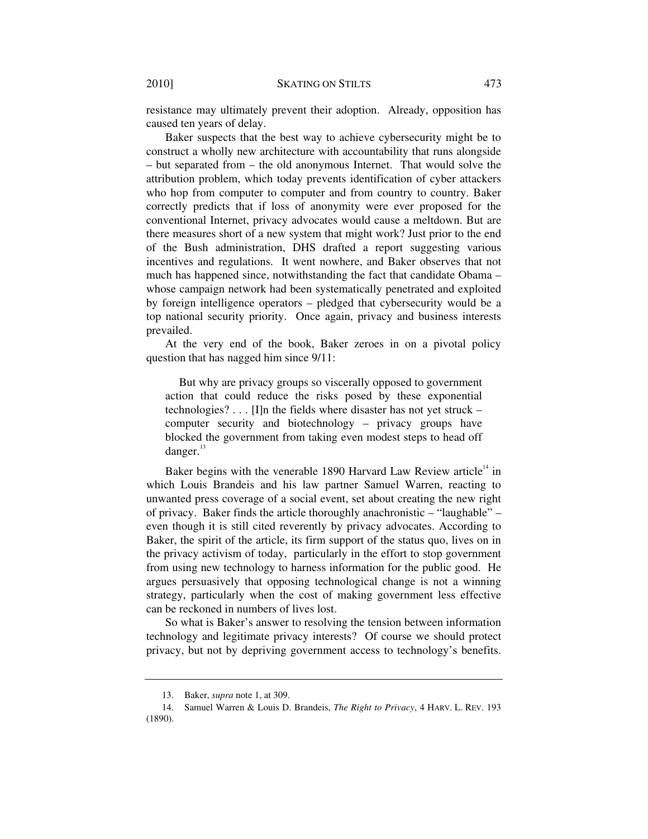resistance may ultimately prevent their adoption. Already, opposition has caused ten years of delay.

Baker suspects that the best way to achieve cybersecurity might be to construct a wholly new architecture with accountability that runs alongside – but separated from – the old anonymous Internet. That would solve the attribution problem, which today prevents identification of cyber attackers who hop from computer to computer and from country to country. Baker correctly predicts that if loss of anonymity were ever proposed for the conventional Internet, privacy advocates would cause a meltdown. But are there measures short of a new system that might work? Just prior to the end of the Bush administration, DHS drafted a report suggesting various incentives and regulations. It went nowhere, and Baker observes that not much has happened since, notwithstanding the fact that candidate Obama – whose campaign network had been systematically penetrated and exploited by foreign intelligence operators – pledged that cybersecurity would be a top national security priority. Once again, privacy and business interests prevailed.

At the very end of the book, Baker zeroes in on a pivotal policy question that has nagged him since 9/11:

 But why are privacy groups so viscerally opposed to government action that could reduce the risks posed by these exponential technologies? . . . [I]n the fields where disaster has not yet struck – computer security and biotechnology – privacy groups have blocked the government from taking even modest steps to head off danger.<sup>13</sup>

Baker begins with the venerable 1890 Harvard Law Review article<sup> $14$ </sup> in which Louis Brandeis and his law partner Samuel Warren, reacting to unwanted press coverage of a social event, set about creating the new right of privacy. Baker finds the article thoroughly anachronistic – "laughable" – even though it is still cited reverently by privacy advocates. According to Baker, the spirit of the article, its firm support of the status quo, lives on in the privacy activism of today, particularly in the effort to stop government from using new technology to harness information for the public good. He argues persuasively that opposing technological change is not a winning strategy, particularly when the cost of making government less effective can be reckoned in numbers of lives lost.

So what is Baker's answer to resolving the tension between information technology and legitimate privacy interests? Of course we should protect privacy, but not by depriving government access to technology's benefits.

 <sup>13.</sup> Baker, *supra* note 1, at 309.

 <sup>14.</sup> Samuel Warren & Louis D. Brandeis, *The Right to Privacy*, 4 HARV. L. REV. 193 (1890).